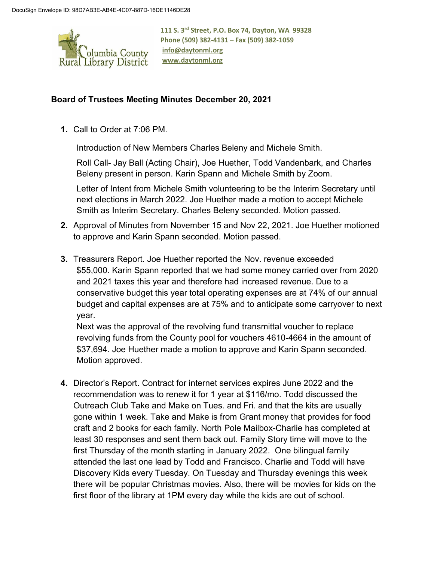

**111 S. 3rd Street, P.O. Box 74, Dayton, WA 99328 Phone (509) 382-4131 – Fax (509) 382-1059 [info@daytonml.org](mailto:info@daytonml.org) [www.daytonml.org](http://www.daytonml.org/)**

## **Board of Trustees Meeting Minutes December 20, 2021**

**1.** Call to Order at 7:06 PM.

Introduction of New Members Charles Beleny and Michele Smith.

Roll Call- Jay Ball (Acting Chair), Joe Huether, Todd Vandenbark, and Charles Beleny present in person. Karin Spann and Michele Smith by Zoom.

Letter of Intent from Michele Smith volunteering to be the Interim Secretary until next elections in March 2022. Joe Huether made a motion to accept Michele Smith as Interim Secretary. Charles Beleny seconded. Motion passed.

- **2.** Approval of Minutes from November 15 and Nov 22, 2021. Joe Huether motioned to approve and Karin Spann seconded. Motion passed.
- **3.** Treasurers Report. Joe Huether reported the Nov. revenue exceeded \$55,000. Karin Spann reported that we had some money carried over from 2020 and 2021 taxes this year and therefore had increased revenue. Due to a conservative budget this year total operating expenses are at 74% of our annual budget and capital expenses are at 75% and to anticipate some carryover to next year.

Next was the approval of the revolving fund transmittal voucher to replace revolving funds from the County pool for vouchers 4610-4664 in the amount of \$37,694. Joe Huether made a motion to approve and Karin Spann seconded. Motion approved.

**4.** Director's Report. Contract for internet services expires June 2022 and the recommendation was to renew it for 1 year at \$116/mo. Todd discussed the Outreach Club Take and Make on Tues. and Fri. and that the kits are usually gone within 1 week. Take and Make is from Grant money that provides for food craft and 2 books for each family. North Pole Mailbox-Charlie has completed at least 30 responses and sent them back out. Family Story time will move to the first Thursday of the month starting in January 2022. One bilingual family attended the last one lead by Todd and Francisco. Charlie and Todd will have Discovery Kids every Tuesday. On Tuesday and Thursday evenings this week there will be popular Christmas movies. Also, there will be movies for kids on the first floor of the library at 1PM every day while the kids are out of school.